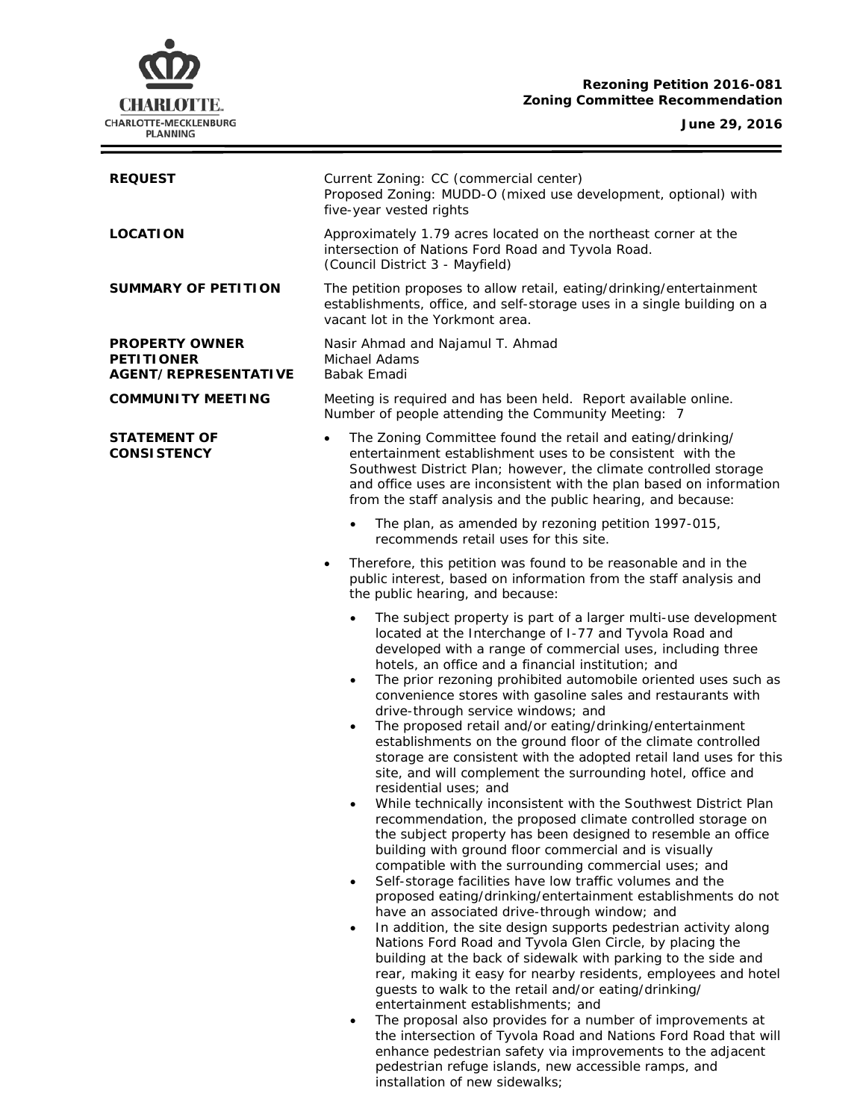# **Rezoning Petition 2016-081 Zoning Committee Recommendation**



÷.



| <b>REQUEST</b>                                                            | Current Zoning: CC (commercial center)<br>Proposed Zoning: MUDD-O (mixed use development, optional) with<br>five-year vested rights                                                                                                                                                                                                                                                                                                                                                                                                                                                                                                                                                                                                                                                                                                                                                                                                                                                                                                                                                                                                                                                                                                                                                                                                                                                                                                                                                                                                                                                                                                                                                                                                                                         |  |  |
|---------------------------------------------------------------------------|-----------------------------------------------------------------------------------------------------------------------------------------------------------------------------------------------------------------------------------------------------------------------------------------------------------------------------------------------------------------------------------------------------------------------------------------------------------------------------------------------------------------------------------------------------------------------------------------------------------------------------------------------------------------------------------------------------------------------------------------------------------------------------------------------------------------------------------------------------------------------------------------------------------------------------------------------------------------------------------------------------------------------------------------------------------------------------------------------------------------------------------------------------------------------------------------------------------------------------------------------------------------------------------------------------------------------------------------------------------------------------------------------------------------------------------------------------------------------------------------------------------------------------------------------------------------------------------------------------------------------------------------------------------------------------------------------------------------------------------------------------------------------------|--|--|
| <b>LOCATION</b>                                                           | Approximately 1.79 acres located on the northeast corner at the<br>intersection of Nations Ford Road and Tyvola Road.<br>(Council District 3 - Mayfield)                                                                                                                                                                                                                                                                                                                                                                                                                                                                                                                                                                                                                                                                                                                                                                                                                                                                                                                                                                                                                                                                                                                                                                                                                                                                                                                                                                                                                                                                                                                                                                                                                    |  |  |
| <b>SUMMARY OF PETITION</b>                                                | The petition proposes to allow retail, eating/drinking/entertainment<br>establishments, office, and self-storage uses in a single building on a<br>vacant lot in the Yorkmont area.                                                                                                                                                                                                                                                                                                                                                                                                                                                                                                                                                                                                                                                                                                                                                                                                                                                                                                                                                                                                                                                                                                                                                                                                                                                                                                                                                                                                                                                                                                                                                                                         |  |  |
| <b>PROPERTY OWNER</b><br><b>PETITIONER</b><br><b>AGENT/REPRESENTATIVE</b> | Nasir Ahmad and Najamul T. Ahmad<br>Michael Adams<br>Babak Emadi                                                                                                                                                                                                                                                                                                                                                                                                                                                                                                                                                                                                                                                                                                                                                                                                                                                                                                                                                                                                                                                                                                                                                                                                                                                                                                                                                                                                                                                                                                                                                                                                                                                                                                            |  |  |
| <b>COMMUNITY MEETING</b>                                                  | Meeting is required and has been held. Report available online.<br>Number of people attending the Community Meeting: 7                                                                                                                                                                                                                                                                                                                                                                                                                                                                                                                                                                                                                                                                                                                                                                                                                                                                                                                                                                                                                                                                                                                                                                                                                                                                                                                                                                                                                                                                                                                                                                                                                                                      |  |  |
| <b>STATEMENT OF</b><br><b>CONSISTENCY</b>                                 | The Zoning Committee found the retail and eating/drinking/<br>$\bullet$<br>entertainment establishment uses to be consistent with the<br>Southwest District Plan; however, the climate controlled storage<br>and office uses are inconsistent with the plan based on information<br>from the staff analysis and the public hearing, and because:                                                                                                                                                                                                                                                                                                                                                                                                                                                                                                                                                                                                                                                                                                                                                                                                                                                                                                                                                                                                                                                                                                                                                                                                                                                                                                                                                                                                                            |  |  |
|                                                                           | The plan, as amended by rezoning petition 1997-015,<br>$\bullet$<br>recommends retail uses for this site.                                                                                                                                                                                                                                                                                                                                                                                                                                                                                                                                                                                                                                                                                                                                                                                                                                                                                                                                                                                                                                                                                                                                                                                                                                                                                                                                                                                                                                                                                                                                                                                                                                                                   |  |  |
|                                                                           | Therefore, this petition was found to be reasonable and in the<br>٠<br>public interest, based on information from the staff analysis and<br>the public hearing, and because:                                                                                                                                                                                                                                                                                                                                                                                                                                                                                                                                                                                                                                                                                                                                                                                                                                                                                                                                                                                                                                                                                                                                                                                                                                                                                                                                                                                                                                                                                                                                                                                                |  |  |
|                                                                           | The subject property is part of a larger multi-use development<br>$\bullet$<br>located at the Interchange of I-77 and Tyvola Road and<br>developed with a range of commercial uses, including three<br>hotels, an office and a financial institution; and<br>The prior rezoning prohibited automobile oriented uses such as<br>$\bullet$<br>convenience stores with gasoline sales and restaurants with<br>drive-through service windows; and<br>The proposed retail and/or eating/drinking/entertainment<br>$\bullet$<br>establishments on the ground floor of the climate controlled<br>storage are consistent with the adopted retail land uses for this<br>site, and will complement the surrounding hotel, office and<br>residential uses; and<br>While technically inconsistent with the Southwest District Plan<br>recommendation, the proposed climate controlled storage on<br>the subject property has been designed to resemble an office<br>building with ground floor commercial and is visually<br>compatible with the surrounding commercial uses; and<br>Self-storage facilities have low traffic volumes and the<br>$\bullet$<br>proposed eating/drinking/entertainment establishments do not<br>have an associated drive-through window; and<br>In addition, the site design supports pedestrian activity along<br>$\bullet$<br>Nations Ford Road and Tyvola Glen Circle, by placing the<br>building at the back of sidewalk with parking to the side and<br>rear, making it easy for nearby residents, employees and hotel<br>guests to walk to the retail and/or eating/drinking/<br>entertainment establishments; and<br>The proposal also provides for a number of improvements at<br>the intersection of Tyvola Road and Nations Ford Road that will |  |  |
|                                                                           | enhance pedestrian safety via improvements to the adjacent                                                                                                                                                                                                                                                                                                                                                                                                                                                                                                                                                                                                                                                                                                                                                                                                                                                                                                                                                                                                                                                                                                                                                                                                                                                                                                                                                                                                                                                                                                                                                                                                                                                                                                                  |  |  |

pedestrian refuge islands, new accessible ramps, and

installation of new sidewalks;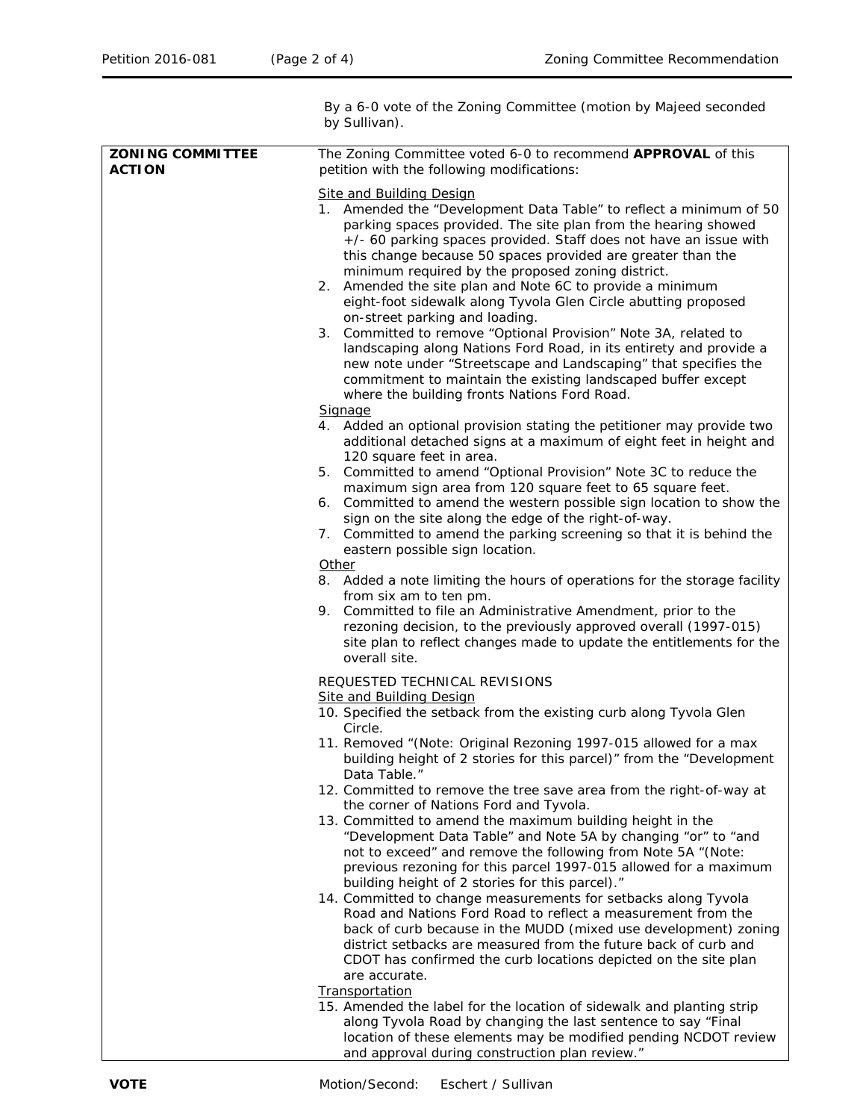By a 6-0 vote of the Zoning Committee (motion by Majeed seconded by Sullivan). **ZONING COMMITTEE ACTION** The Zoning Committee voted 6-0 to recommend **APPROVAL** of this petition with the following modifications: Site and Building Design 1. Amended the "Development Data Table" to reflect a minimum of 50 parking spaces provided. The site plan from the hearing showed +/- 60 parking spaces provided. Staff does not have an issue with this change because 50 spaces provided are greater than the minimum required by the proposed zoning district. 2. Amended the site plan and Note 6C to provide a minimum eight-foot sidewalk along Tyvola Glen Circle abutting proposed on-street parking and loading. 3. Committed to remove "Optional Provision" Note 3A, related to landscaping along Nations Ford Road, in its entirety and provide a new note under "Streetscape and Landscaping" that specifies the commitment to maintain the existing landscaped buffer except where the building fronts Nations Ford Road. Signage 4. Added an optional provision stating the petitioner may provide two additional detached signs at a maximum of eight feet in height and 120 square feet in area. 5. Committed to amend "Optional Provision" Note 3C to reduce the maximum sign area from 120 square feet to 65 square feet. 6. Committed to amend the western possible sign location to show the sign on the site along the edge of the right-of-way. 7. Committed to amend the parking screening so that it is behind the eastern possible sign location. **Other** 8. Added a note limiting the hours of operations for the storage facility from six am to ten pm. 9. Committed to file an Administrative Amendment, prior to the rezoning decision, to the previously approved overall (1997-015) site plan to reflect changes made to update the entitlements for the overall site. REQUESTED TECHNICAL REVISIONS Site and Building Design 10. Specified the setback from the existing curb along Tyvola Glen Circle. 11. Removed "(Note: Original Rezoning 1997-015 allowed for a max building height of 2 stories for this parcel)" from the "Development Data Table." 12. Committed to remove the tree save area from the right-of-way at the corner of Nations Ford and Tyvola. 13. Committed to amend the maximum building height in the "Development Data Table" and Note 5A by changing "or" to "and not to exceed" and remove the following from Note 5A "(Note: previous rezoning for this parcel 1997-015 allowed for a maximum building height of 2 stories for this parcel)." 14. Committed to change measurements for setbacks along Tyvola Road and Nations Ford Road to reflect a measurement from the back of curb because in the MUDD (mixed use development) zoning district setbacks are measured from the future back of curb and CDOT has confirmed the curb locations depicted on the site plan are accurate. **Transportation** 15. Amended the label for the location of sidewalk and planting strip along Tyvola Road by changing the last sentence to say "Final location of these elements may be modified pending NCDOT review

and approval during construction plan review."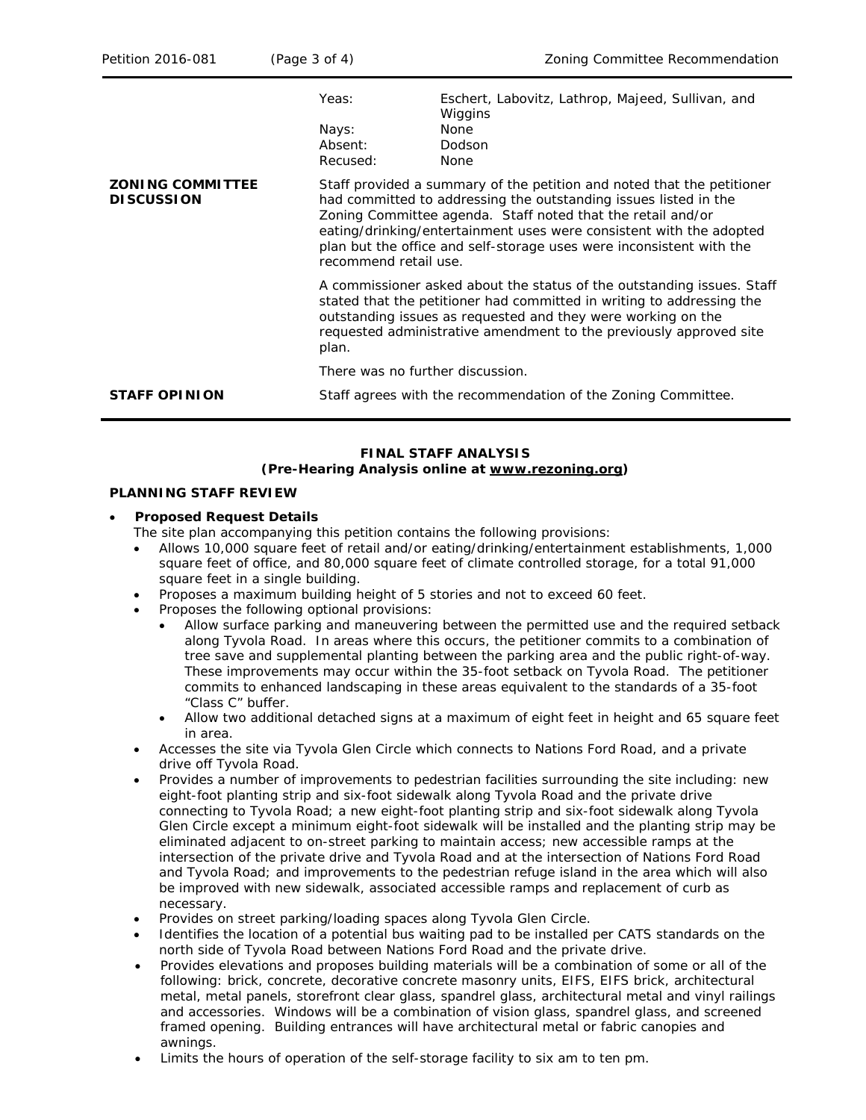| Petition 2016-081                            | (Page 3 of 4)                         | Zoning Committee Recommendation                                                                                                                                                                                                                                                                                                                                                   |  |  |
|----------------------------------------------|---------------------------------------|-----------------------------------------------------------------------------------------------------------------------------------------------------------------------------------------------------------------------------------------------------------------------------------------------------------------------------------------------------------------------------------|--|--|
|                                              | Yeas:<br>Nays:<br>Absent:<br>Recused: | Eschert, Labovitz, Lathrop, Majeed, Sullivan, and<br>Wiggins<br>None<br>Dodson<br>None                                                                                                                                                                                                                                                                                            |  |  |
| <b>ZONING COMMITTEE</b><br><b>DISCUSSION</b> |                                       | Staff provided a summary of the petition and noted that the petitioner<br>had committed to addressing the outstanding issues listed in the<br>Zoning Committee agenda. Staff noted that the retail and/or<br>eating/drinking/entertainment uses were consistent with the adopted<br>plan but the office and self-storage uses were inconsistent with the<br>recommend retail use. |  |  |
|                                              | plan.                                 | A commissioner asked about the status of the outstanding issues. Staff<br>stated that the petitioner had committed in writing to addressing the<br>outstanding issues as requested and they were working on the<br>requested administrative amendment to the previously approved site                                                                                             |  |  |
|                                              |                                       | There was no further discussion.                                                                                                                                                                                                                                                                                                                                                  |  |  |
| <b>STAFF OPINION</b>                         |                                       | Staff agrees with the recommendation of the Zoning Committee.                                                                                                                                                                                                                                                                                                                     |  |  |

# **FINAL STAFF ANALYSIS (Pre-Hearing Analysis online at [www.rezoning.org\)](http://www.rezoning.org/)**

## **PLANNING STAFF REVIEW**

## • **Proposed Request Details**

- The site plan accompanying this petition contains the following provisions:
- Allows 10,000 square feet of retail and/or eating/drinking/entertainment establishments, 1,000 square feet of office, and 80,000 square feet of climate controlled storage, for a total 91,000 square feet in a single building.
- Proposes a maximum building height of 5 stories and not to exceed 60 feet.
- Proposes the following optional provisions:
	- Allow surface parking and maneuvering between the permitted use and the required setback along Tyvola Road. In areas where this occurs, the petitioner commits to a combination of tree save and supplemental planting between the parking area and the public right-of-way. These improvements may occur within the 35-foot setback on Tyvola Road. The petitioner commits to enhanced landscaping in these areas equivalent to the standards of a 35-foot "Class C" buffer.
	- Allow two additional detached signs at a maximum of eight feet in height and 65 square feet in area.
- Accesses the site via Tyvola Glen Circle which connects to Nations Ford Road, and a private drive off Tyvola Road.
- Provides a number of improvements to pedestrian facilities surrounding the site including: new eight-foot planting strip and six-foot sidewalk along Tyvola Road and the private drive connecting to Tyvola Road; a new eight-foot planting strip and six-foot sidewalk along Tyvola Glen Circle except a minimum eight-foot sidewalk will be installed and the planting strip may be eliminated adjacent to on-street parking to maintain access; new accessible ramps at the intersection of the private drive and Tyvola Road and at the intersection of Nations Ford Road and Tyvola Road; and improvements to the pedestrian refuge island in the area which will also be improved with new sidewalk, associated accessible ramps and replacement of curb as necessary.
- Provides on street parking/loading spaces along Tyvola Glen Circle.
- Identifies the location of a potential bus waiting pad to be installed per CATS standards on the north side of Tyvola Road between Nations Ford Road and the private drive.
- Provides elevations and proposes building materials will be a combination of some or all of the following: brick, concrete, decorative concrete masonry units, EIFS, EIFS brick, architectural metal, metal panels, storefront clear glass, spandrel glass, architectural metal and vinyl railings and accessories. Windows will be a combination of vision glass, spandrel glass, and screened framed opening. Building entrances will have architectural metal or fabric canopies and awnings.
- Limits the hours of operation of the self-storage facility to six am to ten pm.